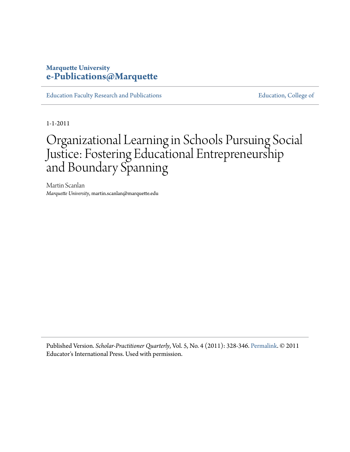### **Marquette University [e-Publications@Marquette](http://epublications.marquette.edu)**

[Education Faculty Research and Publications](http://epublications.marquette.edu/edu_fac) **Education** [Education, College of](http://epublications.marquette.edu/education)

1-1-2011

# Organizational Learning in Schools Pursuing Social Justice: Fostering Educational Entrepreneurship and Boundary Spanning

Martin Scanlan *Marquette University*, martin.scanlan@marquette.edu

Published Version. *Scholar-Practitioner Quarterly*, Vol. 5, No. 4 (2011): 328-346. [Permalink.](http://edint.com/) © 2011 Educator's International Press. Used with permission.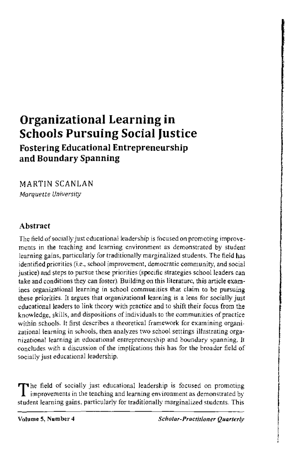## **Organizational Learning in Schools Pursuing Social Justice**

**Fostering Educational Entrepreneurship and Boundary Spanning** 

MARTIN SCANLAN *Marquette University* 

#### **Abstract**

The field of socially just educational leadership is focused on promoting improvements in the teaching and learning environment as demonstrated by student learning gains, particularly for traditionally marginalized students. The field has identified priorities (i.e., school improvement, democratic community, and social justice) and steps to pursue these priorities (specific strategies school leaders can take and conditions they can foster). Building on this literature, this article exam· ines organizational learning in school communities that claim to be pursuing these priorities. It argues that organizational learning is a lens for socially just educational leaders to link theory with practice and to shift their focus from the knowledge, skills, and dispositions of individuals to the communities of practice within schools. It first describes a theoretical framework for examining organizational learning in schools, then analyzes two school settings illustrating organizational learning in educational entrepreneurship and boundary spanning. It concludes with a discussion of the implications this has for the broader field of socially just educational leadership.

The field of socially just educational leadership is focused on promoting improvements in the teaching and learning environment as demonstrated by student learning gains, particularly for traditionally marginalized students. This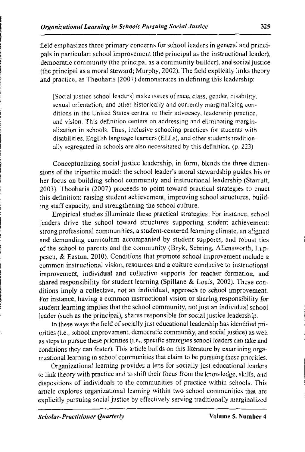field emphasizes three primary concerns for school leaders in general and principals in particular: school improvement (the principal as the instructional leader), democratic community (the principal as a community builder), and social justice (the principal as a moral steward; Murphy, 2002). *The* field explicitly links theory and practice, as Theoharis (2007) demonstrates in defining this leadership:

[Social justice school leaders] make issues of race, class, gender, disability, sexual orientation, and other historically and currently marginalizing conditions in the United States central to their advocacy, leadership practice, and vision. This definition centers on addressing and eliminating marginalization in schools. Thus, inclusive schooling practices for students with disabilities, English language learners (ELLs), and other students traditionally segregated in schools are also necessitated by this definition. (p. 223)

Conceptualizing social justice leadership, in form, blends the three dimensions of the tripartite model: the school leader's moral stewardship guides his or her focus on building school community and instructional leadership (Starratt, 2003). Theoharis (2007) proceeds to point toward practical strategies to enact this definition: raising student achievement, improving school structures, building staff capacity, and strengthening the school culture.

Empirical studies illuminate these practical strategies. For instance, school leaders drive the school toward structures supporting student achievement: strong professional communities, a student-centered learning climate, an aligned and demanding curriculum accompanied by student supports, and robust ties of the school to parents and the community (Bryk, Sebring, Allensworth, Luppescu, & Easton, 2010). Conditions that promote school improvement include a common instructional vision, resources and a culture conducive to instructional improvement, individual and collective supports for teacher formation, and shared responsibility for student learning (Spillane  $\&$  Louis, 2002). These conditions imply a collective, not an individual, approach to school improvement. For instance, having a common instructional vision or sharing responsibility for student learning implies that the school community, not just an individual school leader (such as the principal), shares responsible for social justice leadership.

In these ways the field of socially just educational leadership has identified priorities (i.e., school improvement, democratic community, and social justice) as well as steps to pursue these priorities (i.e., specific strategies school leaders can take and conditions they can foster). This article builds on this literature by examining organizational learning in school communities that claim to be pursuing these priorities.

Organizational learning provides a lens for socially just educational leaders to link theory with practice and to shift their focus from the knowledge, skills, and dispositions of individuals to the communities of practice within schools. This article explores organizational learning within two school communities that are explicitly pursuing social justice by effectively serving traditionally marginalized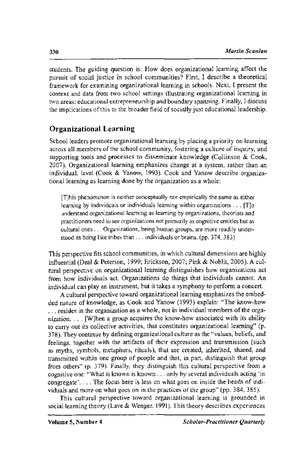students. The guiding question is: How does organizational learning affect the pursuit of social justice in school communities? First, I describe a theoretical framework for examining organizational learning in schools. Next, I present the context and data from two school settings illustrating organizational learning in two areas: educational entrepreneurship and boundary spanning. Finally, I discuss the implications of this to the broader field of socially just educational leadership.

#### **Organizational Learning**

School leaders promote organizational learning by placing a priority on learning across all members of the school community, fostering a culture of inquiry, and supporting tools and processes to disseminate knowledge (Collinson & Cook, 2007). Organizational learning emphasizes change at a system, rather than an individual, level (Cook & Yanow, 1993). Cook and Yanow describe organizational learning as learning done by the organization as a whole:

[T]his phenomenon is neither conceptually nor empirically the same as either learning by individuals or individuals learning within organizations ... [T]o understand organizational learning as learning by organizations, theorists and practitioners need to see organizations not primarily as cognitive entities but as cultural ones ... Organizations, being human groups, are more readily understood as being like tribes than ... individuals or brains. (pp. 374, 383)

This perspective fits school communities, in which cultural dimensions are highly influential (Deal & Peterson, 1999; Erickson, 2007; Pink & Noblit, 2005). A cultural perspective on organizational learning distinguishes how organizations act from how individuals act. Organizations do things that individuals cannot. An individual can play an instrument, but it takes a symphony to perform a concert.

A cultural perspective toward organizational learning emphasizes the embedded nature of knowledge, as Cook and Yanow (1993) explain: "The know-how ... resides in the organization as a whole, not in individual members of the organization .... [W]hen a group acquires the know-how associated with its ability to carry out its collective activities, that constitutes organizational learning" (p. 378). They continue by defining organizational culture as the "values, beliefs, and feelings, together with the artifacts of their expression and transmission (such as myths, symbols, metaphors, rituals), that are created, inherited, shared, and transmitted within one group of people and that, in part, distinguish that group from others" (p. 379). Finally, they distinguish this cultural perspective from a cognitive one: "Wbat is known is known ... only by several individuals acting 'in congregate' .... The focus here is less on what goes on inside the heads of individuals and more on what goes on in the practices of the group" (pp. 384, 385).

This cultural perspective toward organizational learning is grounded in social learning theory (Lave & Wenger, 1991). This theory describes experiences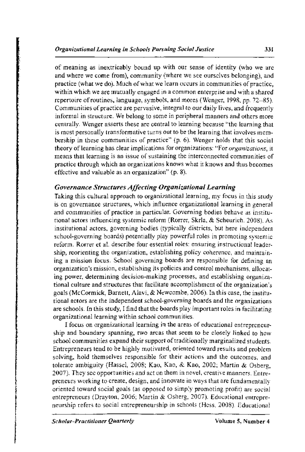of meaning as inextricably bound up with our sense of identity (who we are and where we come from), community (where we see ourselves belonging), and practice (what we do). Much of what we learn occurs in communities of practice, within which we are mutually engaged in a common enterprise and with a shared repertoire of routines, language, symbols, and mores (Wenger, 1998, pp. 72-85). Communities of practice are pervasive, integral to our daily lives, and frequently informal in structure. We belong to some in peripheral manners and others more centrally. Wenger asserts these are central to learning because "the learning that is most personally transformative turns out to be the learning that involves membership in these communities of practice" (p. 6). Wenger holds that this social theory of learning has clear implications for organizations: "For *organizations*, it means that learning is an issue of sustaining the interconnected communities of practice through which an organizations knows what it knows and thus becomes effective and valuable as an organization" (p. 8).

#### *Governance Structures Affecting Organizational Learning*

Taking this cultural approach to organizational learning, my focus in this study is on governance structures, which influence organizational learning in general and communities of practice in particular. Governing bodies behave as institutional actors influencing systemic reform (Rorrer, Skrla, & Scheurich, 2008). As institutional actors, governing bodies (typically districts, but here independent school-governing boards) potentially play powerful roles in promoting systemic reform. Rorrer et a!. describe four essential roles: ensuring instructional leadership, reorienting the organization, establishing policy coherence, and maintaining a mission focus. School governing boards are responsible for defining an organization's mission, establishing its policies and control mechanisms, allocating power, determining decision-making processes, and establishing organizational culture and structures that facilitate accomplishment of the organization's goals (McCormick, Barnett, Alavi, & Newcombe, 2006). In this case, the institutional actors are the independent school-governing boards and the organizations are schools. In this study, I find that the boards play important roles in facilitating organizational learning within school communities.

I focus on organizational learning in the areas of educational entrepreneurship and boundary spanning, two areas that seem to be closely linked to how school communities expand their support of traditionally marginalized students. Entrepreneurs tend to be highly motivated, oriented toward results and problem solving, hold themselves responsible for their actions and the outcomes, and tolerate ambiguity (Hassel, 2008; Kao, Kao, & Kao, 2002; Martin & Osberg, 2007). They see opportunities and act on them in novel, creative manners. Entrepreneurs working to create, design, and innovate in ways that are fundamentally oriented toward social goals (as opposed to simply promoting profit) are social entrepreneurs (Drayton, 2006; Martin & Osberg, 2007). Educational entrepreneurship refers to social entrepreneurship in schools (Hess. 2008). Educational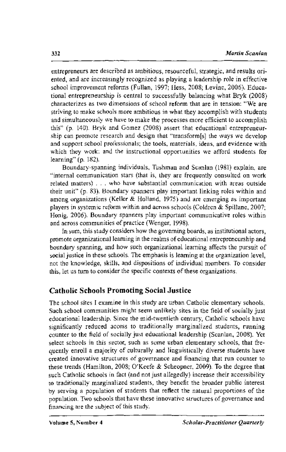entrepreneurs are described as ambitious, resourceful, strategic, and results oriented, and are increasingly recognized as playing a leadership role in effective school improvement reforms (Fullan, 1997; Hess, 2008; Levine, 2006). Educational entrepreneurship is central to successfully balancing what Bryk (2008) characterizes as two dimensions of school reform that are in tension: "We are striving to make schools more ambitious in what they accomplish with students and simultaneously we have to make the processes more efficient to accomplish this" (p. 140). Bryk and Gomez (2008) assert that educational entrepreneurship can promote research and design that "transform[s] the ways we develop and support school professionals; the tools, materials, ideas, and evidence with which they work; and the instructional opportunities we afford students for learning" (p. 182).

Boundary-spanning individuals, Tushman and Scanlan (1981) explain, are "internal communication stars (that is, they are frequently consulted on work related matters) .. who have substantial communication with areas outside their unit" (p. 83). Boundary spanners play important linking roles within and among organizations (Keller & Holland, 1975) and are emerging as important players in systemic reform within and across schools (Coldren & Spillane, 2007; Honig, 2006). Boundary spanners play important communicative roles within and across communities of practice (Wenger, 1998).

In sum, this study considers how the governing boards, as institutional actors, promote organizational learning in the realms of educational entrepreneurship and boundary spanning, and how such organizational learning affects the pursuit of social justice in these schools. The emphasis is learning at the organization level, not the know ledge, skills, and dispositions of individual members. To consider this, let us turn to consider the specific contexts of these organizations.

#### **Catholic Schools Promoting Social Justice**

The school sites I examine in this study are urban Catholic elementary schools. Such school communities might seem unlikely sites in the field of socially just educational leadership. Since the mid-twentieth century, Catholic schools have significantly reduced access to traditionally marginalized students, running counter to the field of socially just educational leadership (Scanlan, 2008). Yet select schools in this sector, such as some urban elementary schools, that frequently enroll a majority of culturally and linguistically diverse students have created innovative structures of governance and financing that run counter to these trends (Hamilton, 2008; O'Keefe & Scheopner, 2009). To the degree that such Catholic schools in fact (and not just allegedly) increase their accessibility to traditionally marginalized students, they benefit the broader public interest by serving a population of students that reflect the natural proportions of the population. Two schools that have these innovative structures of governance and financing are the subject of this study.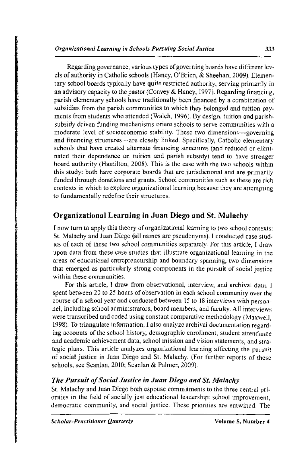Regarding governance, various types of governing boards have different levels of authority in Catholic schools (Haney, O'Brien, & Sheehan, 2009). Elementary school boards typically have quite restricted authority, serving primarily in an advisory capacity to the pastor (Convey & Haney, 1997). Regarding financing, parish elementary schools have traditionally been financed by a combination of subsidies from the parish communities to which they belonged and tuition payments from students who attended (Walch, 1996). By design, tuition and parishsubsidy driven funding mechanisms orient schools to serve communities with a moderate level of socioeconomic stability. These two dimensions-governing and financing structures --are closely linked. Specifically, Catholic elementary schools that have created alternate financing structures (and reduced or eliminated their dependence on tuition and parish subsidy) tend to have stronger board authority (Hamilton, 2008). This is the case with the two schools within this study: both have corporate boards that are jurisdictional and are primarily funded through donations and grants. School communities such as these are rich contexts in which to explore organizational learning because they are attempting to fundamentally redefine their structures.

#### Organizational Learning in Juan Diego and St. Malachy

I now turn to apply this theory of organizational learning to two school contexts: St. Malachy and Juan Diego (all names are pseudonyms). I conducted case studies of each of these two school communities separately. For this article, I draw upon data from these case studies that illustrate organizational learning in the areas of educational entrepreneurship and boundary spanning, two dimensions that emerged as particularly strong components in the pursuit of social justice within these communities.

For this article, I draw from observational, interview, and archival data. I spent between 20 to 25 hours of observation in each school community over the course of a school year and conducted between 15 to 18 interviews with personnel, including school administrators, board members, and faculty. All interviews were transcribed and coded using constant comparative methodology (Maxwell, 1998). To triangulate information, I also analyze archival documentation regarding accounts of the school history, demographic enrollment, student attendance and academic achievement data, school mission and vision statements, and strategic plans. This article analyzes organizational learning affecting the pursuit of social justice in Juan Diego and St. Malachy. (For further reports of these schools, see Scanlan, 2010; Scanlan & Palmer, 2009).

#### *The Pursuit of Social Justice in Juan Diego and St. Malachy*

St. Malachy and Juan Diego both espouse commitments to the three central priorities in the field of socially just educational leadership: school improvement, democratic community, and social justice. These priorities are entwined. The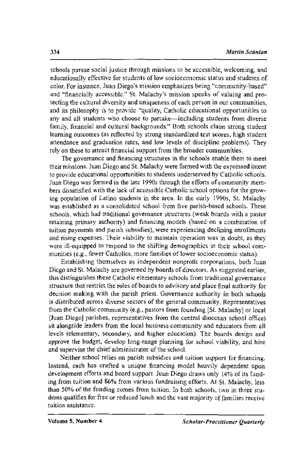schools pursue social justice through missions to be accessible, welcoming, and educationally effective for students of low socioeconomic status and students of color. for instance, Juan Diego's mission emphasizes being "community-based" and "financially accessible." St. Malachy's mission speaks of valuing and protecting the cultural diversity and uniqueness of each person in our communities, and its philosophy is to provide "quality, Catholic educational opportunities to any and all students who choose to partake-including students from diverse family, financial and cultural backgrounds." Both schools claim strong student learning outcomes (as reflected by strong standardized test scores, high student attendance and graduation rates, and low levels of discipline problems). They rely on these to attract financial support from the broader communities.

The governance and financing structures in the schools enable them to meet their missions. Juan Diego and St. Malachy were formed with the expressed intent to provide educational opportunities to students underserved by Catholic schools. Juan Diego was formed in the late 1990s through the efforts of community members dissatisfied with the lack of accessible Catholic school options for the growing population of Latino students in the area. In the early 1990s, St. Malachy was established as a consolidated school from five parish-based schools. These schools, which had traditional governance structures (weak boards with a pastor retaining primary authority) and financing models (based on a combination of tuition payments and parish subsidies), were experiencing declining emollments and rising expenses. Their viability to maintain operation was in doubt, as they were ill-equipped to respond to the shifting demographics in their school communities (e.g., fewer Catholics, more families of lower socioeconomic status).

Establishing themselves as independent nonprofit corporations, both Juan Diego and St. Malachy are governed by boards of directors. As suggested earlier, this distinguishes these Catholic elementary schools from traditional governance structure that restrict the roles of boards to advisory and place final authority for decision making with the parish priest. Governance authority in both schools is distributed across diverse sectors of the general community. Representatives from the Catholic community (e.g., pastors from founding [St. Malachy] or local [Juan Diego] parishes, representatives from the central diocesan school office) sit alongside leaders from the local business community and educators from all levels (elementary, secondary, and higher education). The boards design and approve the budget, develop long-range planning for school viability, and hire and supervise the chief administrator of the school.

Neither school relies on parish subsidies and tuition support for financing. Instead, each has crafted a unique financing model heavily dependent upon development efforts and board support. Juan Diego draws only 14% of its funding from tuition and 86% from various fundraising efforts. At St. Malachy, less than 50% of the funding comes from tuition. In both schools, two in three students qualifies for free or reduced lunch and the vast majority of families receive tuition assistance.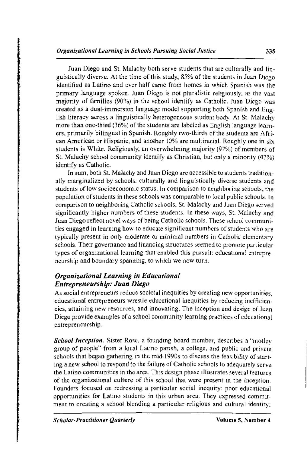Juan Diego and St. Malachy both serve students that are culturally and  $\lim_{n \to \infty}$ guistically diverse. At the time of this study, 85% of the students in Juan Diego identified as Latino and over half came from homes in which Spanish was the primary language spoken. Juan Diego is not pluralistic religiously, as the vast majority of families (90%) in the school identify as Catholic. Juan Diego was created as a dual-immersion language model supporting both Spanish and Eng· lish literacy across a linguistically heterogeneous student body. At St. Malachy more than one-third (36%) of the students are labeled as English language learners, primarily bilingual in Spanish. Roughly two-thirds of the students are Afri· can American or Hispanic, and another 10% are multiracial. Roughly one in six students is White. Religiously, an overwhelming majority (97%) of members of St. Malachy school community identify as Christian, but only a minority (47%) identify as Catholic.

In sum, both St. Malachy and Juan Diego are accessible to students tradition· ally marginalized by schools: culturally and linguistically diverse students and students of low socioeconomic status. In comparison to neighboring schools, the population of students in these schools was comparable to local public schools. In comparison to neighboring Catholic schools, St. Malachy and Juan Diego served significantly higher numbers of these students. In these ways, St. Malachy and Juan Diego reflect novel ways of being Catholic schools. These school communities engaged in learning how to educate significant numbers of students who are typically present in only moderate or minimal numbers in Catholic elementary schools. Their governance and financing structures seemed to promote particular types of organizational learning that enabled this pursuit: educational entrepreneurship and boundary spanning, to which we now turn.

#### *Organizational Learning in Educational Entrepreneurship: Juan Diego*

As social entrepreneurs reduce societal inequities by creating new opportunities, educational entrepreneurs wrestle educational inequities by reducing inefficiencies, attaining new resources, and innovating. The inception and design of Juan Diego provide examples of a school community learning practices of educational entrepreneurship.

*School Inception.* Sister Rose, a founding board member, describes a "motley group of people" from a local Latino parish, a college, and public and private schools that began gathering in the mid-1990s to discuss the feasibility of starting a new school to respond to the failure of Catholic schools to adequately serve the Latino communities in the area. This design phase illustrates several features of the organizational culture of this school that were present in the inception. Founders focused on redressing a particular social inequity: poor educational opportunities for Latino students in this urban area. They expressed commitment to creating a school blending a particular religious and cultural identity: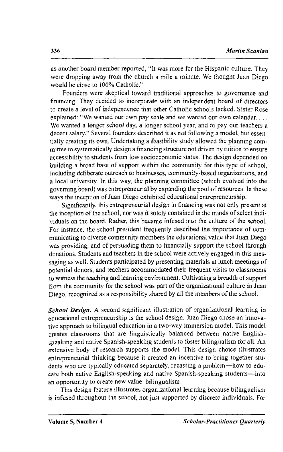as another board member reported, "It was more for the Hispanic culture. They were dropping away from the church a mile a minute. We thought Juan Diego would be close to 100% Catholic."

Founders were skeptical toward traditional approaches to governance and financing. They decided to incorporate with an independent board of directors to create a level of independence that other Catholic schools lacked. Sister Rose explained: "We wanted our own pay scale and we wanted our own calendar.... We wanted a longer school day, a longer school year, and to pay our teachers a decent salary." Several founders described it as not following a model, but essentially creating its own. Undertaking a feasibility study allowed the planning committee to systematically design a financing structure not driven by tuition to ensure accessibility to students from low socioeconomic status. The design depended on building a broad base of support within the community for this type of school, including deliberate outreach to businesses, community-based organizations, and a local university. In this way, the planning committee (which evolved into the governing board) was entrepreneurial by expanding the pool of resources. In these ways the inception of Juan Diego exhibited educational entrepreneurship.

Significantly, this entrepreneurial design in financing was not only present at the inception of the school, nor was it solely contained in the minds of select individuals on the board. Rather, this became infused into the culture of the school. For instance, the school president frequently described the importance of communicating to diverse community members the educational value that Juan Diego was providing, and of persuading them to financially support the school through donations. Students and teachers in the school were actively engaged in this messaging as well. Students participated by presenting materials at lunch meetings of potential donors, and teachers accommodated their frequent visits to classrooms to witness the teaching and learning environment. Cultivating a breadth of support from the community for the school was part of the organizational culture in Juan Diego, recognized as a responsibility shared by all the members of the school.

*School Design.* A second significant illustration of organizational learning in educational entrepreneurship is the school design. Juan Diego chose an innovative approach to bilingual education in a two-way immersion model. This model creates classrooms that are linguistically balanced between native Englishspeaking and native Spanish-speaking students to foster bilingualism for all. An extensive body of research supports the model. This design choice illustrates entrepreneurial thinking because it created an incentive to bring together students who are typically educated separately, recasting a problem-how to educate both native English-speaking and native Spanish-speaking students-into an opportunity to create new value: bilingualism.

This design feature illustrates organizational learning because bilingualism is infused throughout the school, not just supported by discrete individuals. For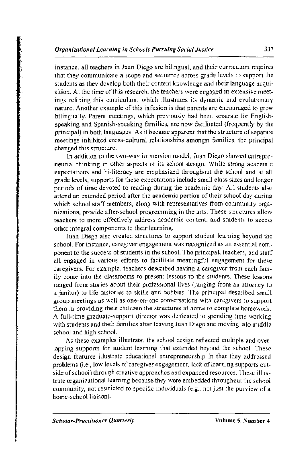instance, all teachers in Juan Diego are bilingual, and their curriculum requires that they communicate a scope and sequence across grade levels to support the students as they develop both their content knowledge and their language acquisition. At the time of this research, the teachers were engaged in extensive meetings refining this curriculum, which illustrates its dynamic and evolutionary nature. Another example of this infusion is that parents are encouraged to grow bilingually. Parent meetings, which previously had been separate for Englishspeaking and Spanish-speaking families, are now facilitated (frequently by the principal) in both languages. As it became apparent that the structure of separate meetings inhibited cross-cultural relationships amongst families, the principal changed this structure.

In addition to the two-way immersion model, Juan Diego showed entrepreneurial thinking in other aspects of its school design. While strong academic expectations and bi-literacy are emphasized throughout the school and at all grade levels, supports for these expectations include small class sizes and longer periods of time devoted to reading during the academic day. All students also attend an extended period after the academic portion of their school day during which school staff members, along with representatives from community organizations, provide after-school programming in the arts. These structures allow teachers to more effectively address academic content, and students to access other integral components to their learning.

Juan Diego also created structures to support student learning beyond the school. For instance, caregiver engagement was recognized as an essential component to the success of students in the school. The principal, teachers, and staff all engaged in various efforts to facilitate meaningful engagement for these caregivers. For example, teachers described having a caregiver from each family come into the classrooms to present lessons to the students. These lessons ranged from stories about their professional lives (ranging from an attorney to a janitor) to life histories to skills and hobbies. The principal described small group meetings as well as one-on-one conversations with caregivers to support them in providing their children the structures at home to complete homework. A full-time graduate-support director was dedicated to spending time working with students and their families after leaving Juan Diego and moving into middle school and high school.

As these examples illustrate, the school design reflected multiple and overlapping supports for student learning that extended beyond the school. These design features illustrate educational entrepreneurship in that they addressed problems (i.e., low levels of caregiver engagement, lack of learning supports outside of school) through creative approaches and expanded resources. These illustrate organizational learning because they were embedded throughout the school community, not restricted to specific individuals (e.g., not just the purview of a home-school liaison).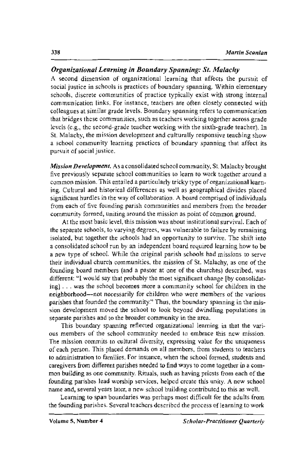#### *Organizational Learning in Boundary Spanning: St. Malachy*

A second dimension of organizational learning that affects the pursuit of social justice in schools is practices of boundary spanning. Within elementary schools, discrete communities of practice typically exist with strong internal communication links. For instance, teachers are often closely connected with colleagues at similar grade levels. Boundary spanning refers to communication that bridges these communities, such as teachers working together across grade levels (e.g., the second-grade teacher working with the sixth-grade teacher). In St. Malachy, the mission development and culturally responsive teaching show a school community learning practices of boundary spanning that affect its pursuit of social justice.

*Mission Development.* As a consolidated school community, St. Malachy brought five previously separate school communities to learn to work together around a common mission. This entailed a particularly tricky type of organizational learning. Cultural and historical differences as well as geographical divides placed significant hurdles in the way of collaboration. A board comprised of individuals from each of five founding parish communities and members from the broader community formed, uniting around the mission as point of common ground.

At the most basic level, this mission was about institutional survival. Each of the separate schools, to varying degrees, was vulnerable to failure by remaining isolated, but together the schools had an opportunity to survive. The shift into a consolidated school run by an independent board required learning how to be a new type of school. While the original parish schools had missions to serve their individual church communities, the mission of St. Malachy, as one of the founding board members (and a pastor at one of the churches) described, was different: "I would say that probably the most significant change [by consolidating] ... was the school becomes more a community school for children in the neighborhood-not necessarily for children who were members of the various parishes that founded the community." Thus, the boundary spanning in the mission development moved the school to look beyond dwindling populations in separate parishes and to the broader community in the area.

This boundary spanning reflected organizational learning in that the various members of the school community needed to embrace this new mission. The mission commits to cultural diversity, expressing value for the uniqueness of each person. This placed demands on all members, from students to teachers to administration to families. For instance, when the school formed, students and caregivers from different parishes needed to find ways to come together in a common building as one community. Rituals, such as having priests from each of the founding parishes lead worship services, helped create this unity. A new school name and, several years later, a new school building contributed to this as well.

Learning to span boundaries was perhaps most difficult for the adults from the founding parishes. Several teachers described the process of learning to work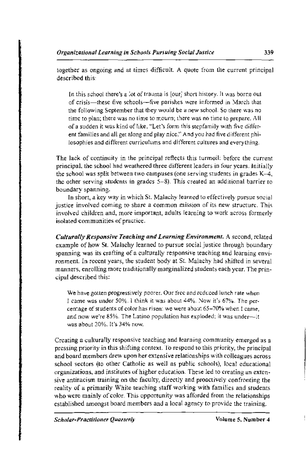together as ongoing and at times difficult. A quote from the current principal described this:

In this school there's a lot of trauma is [our] short history. It was borne out of crisis-these five schools-five parishes were informed in March that the following September that they would be a new school. So there was no time to plan; there was no time to mourn; there was no time to prepare. All of a sudden it was kind of like, "Let's form this stepfamily with five different families and all get along and play nice." And you had five different philosophies and different curriculums and different cultures and everything.

The lack of continuity in the principal reflects this turmoil: before the current principal, the school had weathered three different leaders in four years. Initially the school was split between two campuses (one serving students in grades K-4, the other serving students in grades 5-8). This created an additional barrier to boundary spanning.

In short, a key way in which St. Malachy learned to effectively pursue social justice involved coming to share a common mission of its new structure. This involved children and, more important, adults learning to work across formerly isolated communities of practice.

*Culturally Responsive Teaching and Learning Environment.* A second, related example of how St. Malachy learned to pursue social justice through boundary spanning was its crafting of a culturally responsive teaching and learning environment. In recent years, the student body at St. Malachy had shifted in several manners, enrolling more traditionally marginalized students each year. The principal described this:

We have gotten progressively poorer. Our free and reduced lunch rate when I came was under 50%. I think it was about 44%. Now it's 67%. The per· centage of students of color has risen: we were about 65-70% when I came, and now we're 85%. The Latino population has exploded: it was under-it was about 20%. It's 34% now.

Creating a culturally responsive teaching and learning community emerged as a pressing priority in this shifting context. To respond to this priority, the principal and board members drew upon her extensive relationships with colleagues across school sectors (to other Catholic as well as public schools), local educational organizations, and institutes of higher education. These led to creating an extensive antiracism training on the faculty, directly and proactively confronting the reality of a primarily White teaching staff working with families and students who were mainly of color. This opportunity was afforded from the relationships established amongst board members and a local agency to provide the training.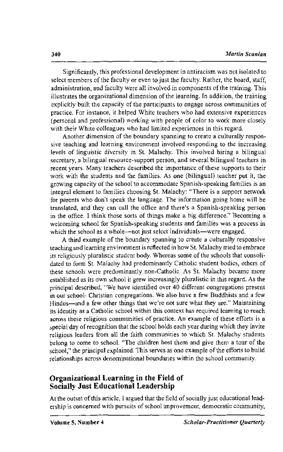Significantly, this professional development in antiracism was not isolated to select members of the faculty or even to just the faculty. Rather, the board, staff, administration, and faculty were all involved in components of the training. This illustrates the organizational dimension of the learning. In addition, the training explicitly built the capacity of the participants to engage across communities of practice. For instance, it helped White teachers who had extensive experiences (personal and professional) working with people of color to work more closely with their White colleagues who had limited experiences in this regard.

Another dimension of the boundary spanning to create a culturally responsive teaching and learning environment involved responding to the increasing levels of linguistic diversity in St. Malachy. This involved hiring a bilingual secretary, a bilingual resource-support person, and several bilingual teachers in recent years. Many teachers described the importance of these supports to their work with the students and the families. As one (bilingual) teacher put it, the growing capacity of the school to accommodate Spanish-speaking families is an integral element to families choosing St. Malachy: "There is a support network for parents who don't speak the language. The information going home will be translated, and they can call the office and there's a Spanish-speaking person in the office. I think those sorts of things make a big difference." Becoming a welcoming school for Spanish-speaking students and families was a process in which the school as a whole--not just select individuals-were engaged.

A third example of the boundary spanning to create a culturally responsive teaching and learning environment is reflected in how St. Malachy tried to embrace its religiously pluralistic student body. Whereas some of the schools that consolidated to form St. Malachy had predominantly Catholic student bodies, others of these schools were predominantly non-Catholic. As St. Malachy became more established as its own school it grew increasingly pluralistic in this regard. As the principal described, "We have identified over 40 different congregations present in our school- Christian congregations. We also have a few Buddhists and a few Hindus-and a few other things that we're not sure what they are." Maintaining its identity as a Catholic school within this context has required learning to reach across these religious communities of practice. An example of these efforts is a special day of recognition that the school holds each year during which they invite religious leaders from all the faith communities to which St. Malachy students belong to come to school. "The children host them and give them a tour of the school," the principal explained. This serves as one example of the efforts to build relationships across denominational boundaries within the school community.

#### **Organizational Learning in the Field of Socially Just Educational Leadership**

At the outset of this article, I argued that the field of socially just educational leadership is concerned with pursuits of school improvement, democratic community,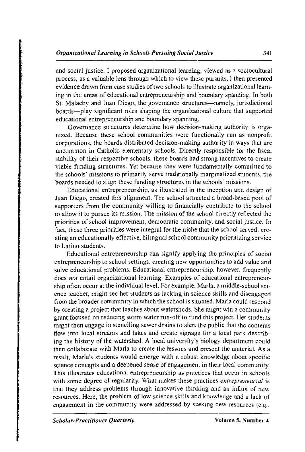and social justice. I proposed organizational learning, viewed as a sociocultural process, as a valuable lens through which to view these pursuits. I then presented evidence drawn from case studies of two schools to illustrate organizational learning in the areas of educational entrepreneurship and boundary spanning. In both St. Malachy and Juan Diego, the governance structures-namely, jurisdictional boards-play significant roles shaping the organizational culture that supported educational entrepreneurship and boundary spanning.

Governance structures determine how decision-making authority is organized. Because these school communities were functionally run as nonprofit corporations, the boards distributed decision-making authority in ways that are uncommon in Catholic elementary schools. Directly responsible for the fiscal stability of their respective schools, these boards had strong incentives to create viable funding structures. Yet because they were fundamentally committed to the schools' missions to primarily serve traditionally marginalized students, the boards needed to align these funding structures in the schools' missions.

Educational entrepreneurship, as illustrated in the inception and design of Juan Diego, created this alignment. The school attracted a broad-based pool of supporters from the community willing to financially contribute to the school to allow it to pursue its mission. The mission of the school directly reflected the priorities of school improvement, democratic community, and social justice. In fact, these three priorities were integral for the niche that the school served: creating an educationally effective, bilingual school community prioritizing service to Latino students.

Educational entrepreneurship can signify applying the principles of social entrepreneurship to school settings, creating new opportunities to add value and solve educational problems. Educational entrepreneurship, however, frequently does *not* entail organizational learning. Examples of educational entrepreneurship often occur at the individual leveL For example, Marla, a middle-school science teacher, might see her students as lacking in science skills and disengaged from the broader community in which the school is situated. Marla could respond by creating a project that teaches about watersheds. She might win a community grant focused on reducing storm water run-off to fund this project. Her students might then engage in stenciling sewer drains to alert the public that the contents flow into local streams and lakes and create signage for a local park describing the history of the watershed. A local university's biology department could then collaborate with Marla to create the lessons and present the material. As a result, Marla's students would emerge with a robust knowledge about specific science concepts and a deepened sense of engagement in their local community. This illustrates educational entrepreneurship as practices that occur in schools with some degree of regularity. What makes these practices *entrepreneurial* is that they address problems through innovative thinking and an influx of new resources. Here, the problem of low science skills and knowledge and a lack of engagement in the community were addressed by seeking new resources (e.g.,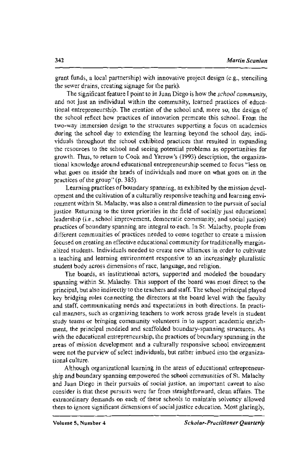grant funds, a local partnership) with innovative project design (e.g., stenciling the sewer drains, creating signage for the park).

The significant feature I point to in Juan Diego is how the *school community,*  and not just an individual within the community, learned practices of educational entrepreneurship. The creation of the school and, more so, the design of the school reflect how practices of innovation permeate this school. From the two-way immersion design to the structures supporting a focus on academics during the school day to extending the learning beyond the school day, individuals throughout the school exhibited practices that resulted in expanding the resources to the school and seeing potential problems as opportunities for growth. Thus, to return to Cook and Yarrow's (1993) description, the organizational knowledge around educational entrepreneurship seemed to focus "less on what goes on inside the heads of individuals and more on what goes on in the practices of the group" (p. 385).

Learning practices of boundary spanning, as exhibited by the mission development and the cultivation of a culturally responsive teaching and learning environment within St. Malachy, was also a central dimension to the pursuit of social justice. Returning to the three priorities in the field of socially just educational leadership (i.e., school improvement, democratic community, and social justice) practices of boundary spanning are integral to each. In St. Malachy, people from different communities of practices needed to come together to create a mission focused on creating an effective educational community for traditionally marginalized students. Individuals needed to create new alliances in order to cultivate a teaching and learning environment responsive to an increasingly pluralistic student body across dimensions of race, language, and religion.

The boards, as institutional actors, supported and modeled the boundary spanning within St. Malachy. This support of the board was most direct to the principal, but also indirectly to the teachers and staff. The school principal played key bridging roles connecting the directors at the board level with the faculty and staff, communicating needs and expectations in both directions. In practical manners, such as organizing teachers to work across grade levels in student study teams or bringing community volunteers in to support academic enrichment, the principal modeled and scaffolded boundary-spanning structures. As with the educational entrepreneurship, the practices of boundary spanning in the areas of mission development and a culturally responsive school environment were not the purview of select individuals, but rather imbued into the organizational culture.

Although organizational learning in the areas of educational entrepreneurship and boundary spanning empowered the school communities of St. Malachy and Juan Diego in their pursuits of social justice, an important caveat to also consider is that these pursuits were far from straightforward, clean affairs. The extraordinary demands on each of these schools to maintain solvency allowed them to ignore significant dimensions of social justice education. Most glaringly,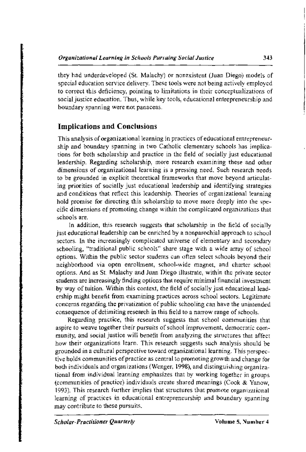they had underdeveloped (St. Malachy) or nonexistent (Juan Diego) models of special education service delivery. These tools were not being actively employed to correct this deficiency, pointing to limitations in their conceptualizations of social justice education. Thus, while key tools, educational entrepreneurship and boundary spanning were not panaceas.

#### **Implications and Conclusions**

This analysis of organizational learning in practices of educational entrepreneurship and boundary spanning in two Catholic elementary schools has implications for both scholarship and practice in the field of socially just educational leadership. Regarding scholarship, more research examining these and other dimensions of organizational learning is a pressing need. Such research needs to be grounded in explicit theoretical frameworks that move beyond articulating priorities of socially just educational leadership and identifying strategies and conditions that reflect this leadership. Theories of organizational learning hold promise for directing this scholarship to move more deeply into the specific dimensions of promoting change within the complicated organizations that schools are.

In addition, this research suggests that scholarship in the field of socially just educational leadership can be enriched by a nonparochial approach to school sectors. In the increasingly complicated universe of elementary and secondary schooling, "traditional public schools" share stage with a wide array of school options. Within the public sector students can often select schools beyond their neighborhood via open enrollment, school-wide magnet, and charter school options. And as St. Malachy and Juan Diego illustrate, within the private sector smdents are increasingly finding options that require minimal financial investment by way of tuition. Within this context, the field of socially just educational leadership might benefit from examining practices across school sectors. Legitimate concerns regarding the privatization of public schooling can have the unintended consequence of delimiting research in this field to a narrow range of schools.

Regarding practice, this research suggests that school communities that aspire to weave together their pursuits of school improvement, democratic community, and social justice will benefit from analyzing the structures that affect how their organizations learn. This research suggests such analysis should be grounded in a cultural perspective toward organizational learning. This perspective holds communities of practice as central to promoting growth and change for both individuals and organizations (Wenger, 1998), and distinguishing organizational from individual learning emphasizes that by working together in groups (communities of practice) individuals create shared meanings (Cook  $\&$  Yanow, 1993). This research further implies that structures that promote organizational learning of practices in educational entrepreneurship and boundary spanning may contribute to these pursuits.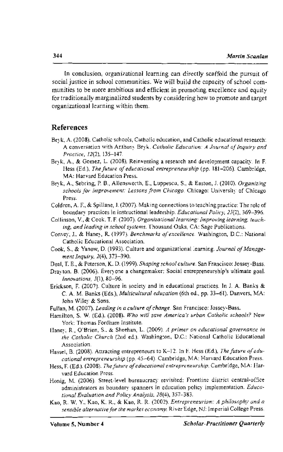In conclusion, organizational learning can directly scaffold the pursuit of social justice in school communities. We will build the capacity of school communities to be more ambitious and efficient in promoting excellence and equity for traditionally marginalized students by considering how to promote and target organizational learning within them.

#### References

- Bryk, A. (2008). Catholic schools, Catholic education, and Catholic educational research: A conversation with Anthony Bryk. *Catholic Education: A Journal of Inquiry and Practice,* 12(2), 135-147.
- Bryk, A., & Gomez, L. (2008). Reinventing a research and development capacity. In F. Hess (Ed.), *The future of educational entrepreneurship* (pp. 181-206). Cambridge, MA: Harvard Education Press.
- Bryk, A., Sebring, P. B., Allensworth, E., Luppescu, S., & Easton, J. (2010). *Organizing schools for improvement: Lessons from Chicago.* Chicago: University of Chicago Press.
- Coldren, A. F., & Spillane, J. (2007). Making connections to teaching practice: The role of boundary practices in instructional leadership. *Educational Policy,* 21(2), 369-396.
- Collinson, V., & Cook. T. F. (2007). *Organizational learning: Improving learning, teaching, and leading in school systems.* Thousand Oaks, CA: Sage Publications.
- Convey, J., & Haney, R. (1997). *Benchmarks of excellence.* Washington, D.C.: National Catholic Educational Association.
- Cook, S., & Yanow, D. (1993). Culture and organizational learning. *Journal of Management Inquiry, 2(4),* 373-390.
- Deal, T. E., & Peterson, K. D. (1999). *Shaping school culture.* San Francisco: Jossey-Bass.
- Drayton, B. (2006). Everyone a changemaker: Social entrepreneurship's ultimate goal. *Innovations,* 1(1), 80-96.
- Erickson, F. (2007). Culture in society and in educational practices. In J. A. Banks & C. A. M. Banks (Eds.), *Multicultural education* (6th ed., pp. 33-61). Danvers, MA: John Wiley & Sons.
- Fullan, M. (2007). *Leading in a culture of change*. San Francisco: Jossey-Bass.
- Hamilton, S. W. (Ed.). (2008). *Who will save America's urban Catholic schools?* New York: Thomas Fordham Institute.
- Haney, R., O'Brien, S., & Sheehan, L. (2009). *A primer on educational governance in the Catholic Church* (2nd ed.). Washington, D.C.: National Catholic Educational Association.
- Hassel, B. (2008). Attracting entrepreneurs to K-12. In F. Hess (Ed.), *The future of educational entrepreneurship* (pp. 45-64). Cambridge, MA: Harvard Education Press.
- Hess, F. (Ed.). (2008). *The future of educational entrepreneurship.* Cambridge, MA: Harvard **Education** Press.
- Honig, M. (2006). Street-level bureaucracy revisited: Frontline district central-office administrators as boundary spanners in education policy implementation. *Educational Evaluation and Policy Analysis, 28(4),* 357-383.
- Kao, R. W. Y., Kao, K. R., & Kao, R. R. (2002). *Entrepreneurism: A philosophy and a sensible alternative for the market economy.* River Edge, NJ: Imperial College Press.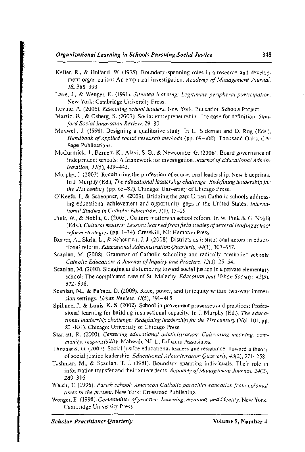- Keller, R., & Holland, W. (1975). Boundary-spanning roles in a research and development organization: An empirical investigation. *Academy of Management Journal,*  18, 388-393.
- Lave, J., & Wenger, E. (1991). *Situated learning: Legitimate peripheral participation.*  New York: Cambridge University Press.
- Levine, A. (2006). *Educating school leaders.* New York: Education Schools Project.
- Martin, R., & Osberg, S. (2007). Social entrepreneurship: The case for definition. *Stanford Social Innovation Review,* 29-39.
- Maxwell, J. (1998). Designing a qualitative study. In L. Bickman and D. Rag (Eds.), *Handbook of applied social research methods* (pp. 69-100). Thousand Oaks, CA: Sage Publications.
- McCormick. J., Barnett, K., Alavi, S. B., & Newcombe, G. (2006). Board governance of independent schools: A framework for investigation. *Journal of Educational Administration,* H(5), 429-445.
- Murphy, J. (2002). Reculturing the profession of educational leadership: New blueprints. In J. Murphy (Ed.), *The educational leadership challenge: Redefining leadership for the list century* (pp. 65-82). Chicago: University of Chicago Press.
- O'Keefe, J., & Scheopner, A. (2009). Bridging the gap: Urban Catholic schools addressing educational achievement and opportunity gaps in the United States. *International Studies in Catholic Education,* 1(1), 15-29.
- Pink, W., & Noblit, G. (2005). Culture matters in school reform. In W. Pink & G. Noblit (Eds.), *Cultural matters: Lessons learnedfromfield studies of several leading school reform strategies* (pp. 1-34). Cresskill, NJ: Hampton Press.
- Rorrer, A., Skrla, L., & Scheurich, J. J. (2008). Districts as institutional actors in educational reform. *Educational Administration Quarterly, 44*(3), 307-357.
- Scanlan, M. (2008). Grammar of Catholic schooling and radically "catholic" schools. *Catholic Education: A Journal of Inquiry and Practice, 12(1), 25-54.*
- Scanlan, M. (2010). Slogging and stumbling toward social justice in a private elementary school: The complicated case of St. Malachy. *Education and Urban Society, 42(5),*  572-598.
- Scanlan, M., & Palmer, D. (2009). Race, power, and (in)equity within two-way immersion settings. *Urban Review, 41(5),* 391-415.
- Spillane, J., & Louis, K. S. (2002). School improvement processes and practices: Professional learning for building instructional capacity. In J. Murphy (Ed.), *The educational leadership challenge: Redefining leadership for the 21st century* (Vol. 101, pp. 83-104). Chicago: University of Chicago Press.
- Starratt, R. (2003). *Centering educational administration: Cultivating meaning, community, responsibility.* Mahwah, NJ: L. Erlbaum Associates.
- Theoharis, G. (2007). Social justice educational leaders and resistance: Toward a theor: of social justice leadership. *Educational Administration Quarterly, 43(2),* 221-258.
- Tushman, M., & Scanlan, T. J. (1981). Boundary spanning individuals: Their role in information transfer and their antecedents. *Academy of Management Journal,* 2-1(2), 289-305.
- Walch, T. (1996). *Parish school: American Catholic parochial education from colonial times to the present.* New York: Crossroad Publishing.
- Wenger, E. (1998). *Communities of practice: Learning, meaning, and identity.* New York: Cambridge University Press.